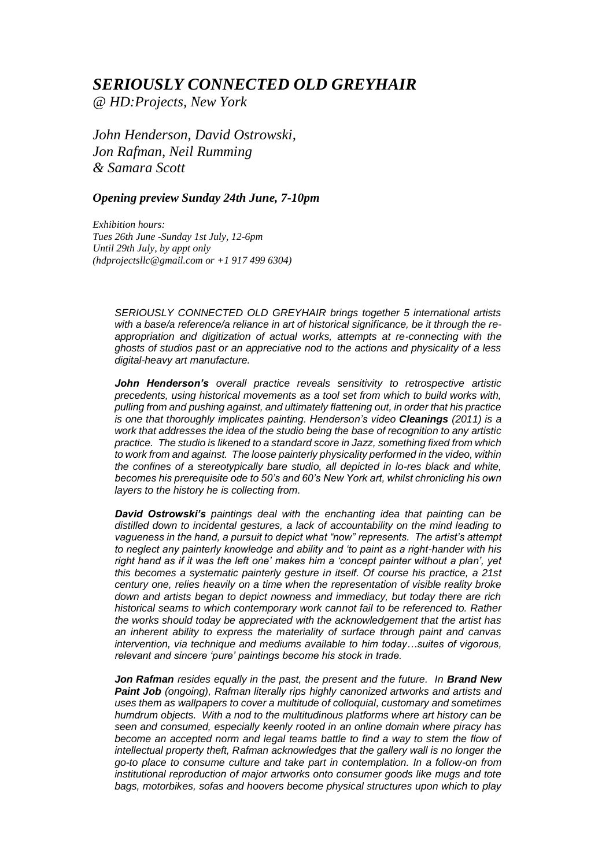## *SERIOUSLY CONNECTED OLD GREYHAIR*

*@ HD:Projects, New York* 

*John Henderson, David Ostrowski, Jon Rafman, Neil Rumming & Samara Scott*

## *Opening preview Sunday 24th June, 7-10pm*

*Exhibition hours: Tues 26th June -Sunday 1st July, 12-6pm Until 29th July, by appt only (hdprojectsllc@gmail.com or +1 917 499 6304)* 

> *SERIOUSLY CONNECTED OLD GREYHAIR brings together 5 international artists with a base/a reference/a reliance in art of historical significance, be it through the reappropriation and digitization of actual works, attempts at re-connecting with the ghosts of studios past or an appreciative nod to the actions and physicality of a less digital-heavy art manufacture.*

> *John Henderson's overall practice reveals sensitivity to retrospective artistic precedents, using historical movements as a tool set from which to build works with, pulling from and pushing against, and ultimately flattening out, in order that his practice is one that thoroughly implicates painting. Henderson's video Cleanings (2011) is a work that addresses the idea of the studio being the base of recognition to any artistic practice. The studio is likened to a standard score in Jazz, something fixed from which to work from and against. The loose painterly physicality performed in the video, within the confines of a stereotypically bare studio, all depicted in lo-res black and white, becomes his prerequisite ode to 50's and 60's New York art, whilst chronicling his own layers to the history he is collecting from.*

> *David Ostrowski's paintings deal with the enchanting idea that painting can be distilled down to incidental gestures, a lack of accountability on the mind leading to vagueness in the hand, a pursuit to depict what "now" represents. The artist's attempt to neglect any painterly knowledge and ability and 'to paint as a right-hander with his right hand as if it was the left one' makes him a 'concept painter without a plan', yet this becomes a systematic painterly gesture in itself. Of course his practice, a 21st century one, relies heavily on a time when the representation of visible reality broke down and artists began to depict nowness and immediacy, but today there are rich historical seams to which contemporary work cannot fail to be referenced to. Rather the works should today be appreciated with the acknowledgement that the artist has an inherent ability to express the materiality of surface through paint and canvas intervention, via technique and mediums available to him today…suites of vigorous, relevant and sincere 'pure' paintings become his stock in trade.*

> **Jon Rafman** *resides equally in the past, the present and the future. In Brand New Paint Job (ongoing), Rafman literally rips highly canonized artworks and artists and uses them as wallpapers to cover a multitude of colloquial, customary and sometimes humdrum objects. With a nod to the multitudinous platforms where art history can be seen and consumed, especially keenly rooted in an online domain where piracy has* become an accepted norm and legal teams battle to find a way to stem the flow of *intellectual property theft, Rafman acknowledges that the gallery wall is no longer the go-to place to consume culture and take part in contemplation. In a follow-on from institutional reproduction of major artworks onto consumer goods like mugs and tote bags, motorbikes, sofas and hoovers become physical structures upon which to play*